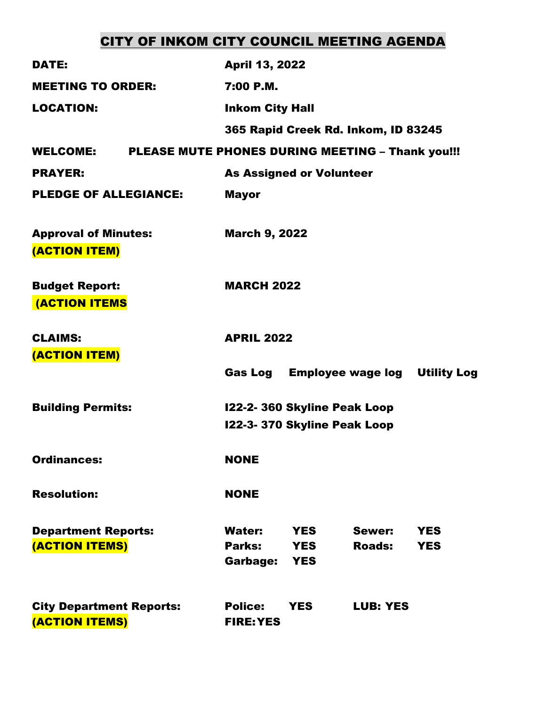# CITY OF INKOM CITY COUNCIL MEETING AGENDA

| DATE:                                                               | <b>April 13, 2022</b>                                      |                          |                                              |                          |  |
|---------------------------------------------------------------------|------------------------------------------------------------|--------------------------|----------------------------------------------|--------------------------|--|
| <b>MEETING TO ORDER:</b>                                            | 7:00 P.M.                                                  |                          |                                              |                          |  |
| <b>LOCATION:</b>                                                    | <b>Inkom City Hall</b>                                     |                          |                                              |                          |  |
|                                                                     | 365 Rapid Creek Rd. Inkom, ID 83245                        |                          |                                              |                          |  |
| PLEASE MUTE PHONES DURING MEETING - Thank you!!!<br><b>WELCOME:</b> |                                                            |                          |                                              |                          |  |
| <b>PRAYER:</b>                                                      | <b>As Assigned or Volunteer</b>                            |                          |                                              |                          |  |
| <b>PLEDGE OF ALLEGIANCE:</b>                                        | <b>Mayor</b>                                               |                          |                                              |                          |  |
| <b>Approval of Minutes:</b><br>(ACTION ITEM)                        |                                                            | <b>March 9, 2022</b>     |                                              |                          |  |
| <b>Budget Report:</b><br><b>(ACTION ITEMS</b>                       |                                                            | <b>MARCH 2022</b>        |                                              |                          |  |
| <b>CLAIMS:</b>                                                      | <b>APRIL 2022</b>                                          |                          |                                              |                          |  |
| (ACTION ITEM)                                                       |                                                            |                          |                                              |                          |  |
|                                                                     |                                                            |                          | <b>Gas Log Employee wage log Utility Log</b> |                          |  |
| <b>Building Permits:</b>                                            | 122-2-360 Skyline Peak Loop<br>122-3-370 Skyline Peak Loop |                          |                                              |                          |  |
|                                                                     |                                                            |                          |                                              |                          |  |
| <b>Ordinances:</b>                                                  | <b>NONE</b>                                                |                          |                                              |                          |  |
| <b>Resolution:</b>                                                  | <b>NONE</b>                                                |                          |                                              |                          |  |
| <b>Department Reports:</b><br>(ACTION ITEMS)                        | <b>Water:</b><br>Parks:                                    | <b>YES</b><br><b>YES</b> | Sewer:<br><b>Roads:</b>                      | <b>YES</b><br><b>YES</b> |  |
|                                                                     | Garbage:                                                   | <b>YES</b>               |                                              |                          |  |
| <b>City Department Reports:</b><br>(ACTION ITEMS)                   | <b>Police:</b><br><b>FIRE: YES</b>                         | <b>YES</b>               | <b>LUB: YES</b>                              |                          |  |